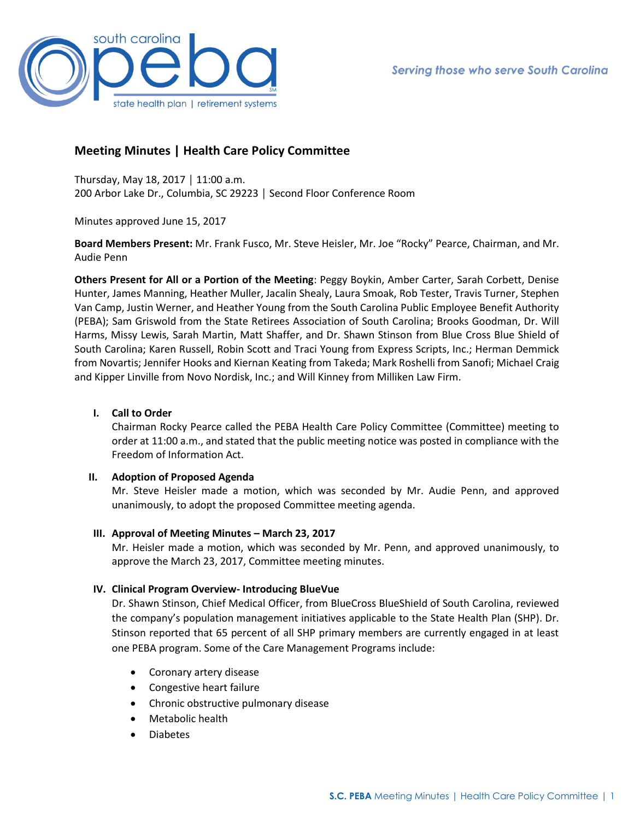

# **Meeting Minutes | Health Care Policy Committee**

Thursday, May 18, 2017 │ 11:00 a.m. 200 Arbor Lake Dr., Columbia, SC 29223 │ Second Floor Conference Room

Minutes approved June 15, 2017

**Board Members Present:** Mr. Frank Fusco, Mr. Steve Heisler, Mr. Joe "Rocky" Pearce, Chairman, and Mr. Audie Penn

**Others Present for All or a Portion of the Meeting**: Peggy Boykin, Amber Carter, Sarah Corbett, Denise Hunter, James Manning, Heather Muller, Jacalin Shealy, Laura Smoak, Rob Tester, Travis Turner, Stephen Van Camp, Justin Werner, and Heather Young from the South Carolina Public Employee Benefit Authority (PEBA); Sam Griswold from the State Retirees Association of South Carolina; Brooks Goodman, Dr. Will Harms, Missy Lewis, Sarah Martin, Matt Shaffer, and Dr. Shawn Stinson from Blue Cross Blue Shield of South Carolina; Karen Russell, Robin Scott and Traci Young from Express Scripts, Inc.; Herman Demmick from Novartis; Jennifer Hooks and Kiernan Keating from Takeda; Mark Roshelli from Sanofi; Michael Craig and Kipper Linville from Novo Nordisk, Inc.; and Will Kinney from Milliken Law Firm.

# **I. Call to Order**

Chairman Rocky Pearce called the PEBA Health Care Policy Committee (Committee) meeting to order at 11:00 a.m., and stated that the public meeting notice was posted in compliance with the Freedom of Information Act.

# **II. Adoption of Proposed Agenda**

Mr. Steve Heisler made a motion, which was seconded by Mr. Audie Penn, and approved unanimously, to adopt the proposed Committee meeting agenda.

## **III. Approval of Meeting Minutes – March 23, 2017**

Mr. Heisler made a motion, which was seconded by Mr. Penn, and approved unanimously, to approve the March 23, 2017, Committee meeting minutes.

# **IV. Clinical Program Overview- Introducing BlueVue**

Dr. Shawn Stinson, Chief Medical Officer, from BlueCross BlueShield of South Carolina, reviewed the company's population management initiatives applicable to the State Health Plan (SHP). Dr. Stinson reported that 65 percent of all SHP primary members are currently engaged in at least one PEBA program. Some of the Care Management Programs include:

- Coronary artery disease
- Congestive heart failure
- Chronic obstructive pulmonary disease
- Metabolic health
- Diabetes